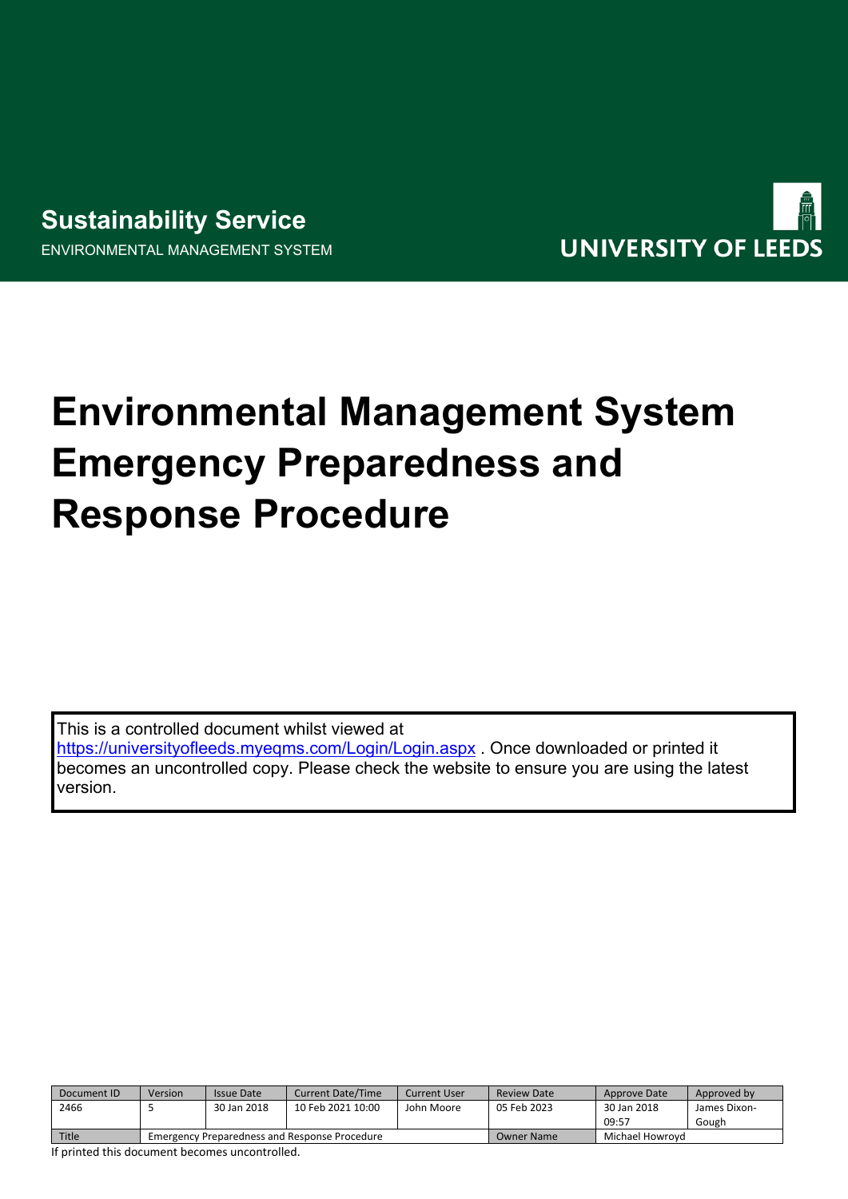# **Sustainability Service**

ENVIRONMENTAL MANAGEMENT SYSTEM



# **Environmental Management System Emergency Preparedness and Response Procedure**

This is a controlled document whilst viewed at

<https://universityofleeds.myeqms.com/Login/Login.aspx> . Once downloaded or printed it becomes an uncontrolled copy. Please check the website to ensure you are using the latest version.

| Document ID | Version                                       | <b>Issue Date</b> | <b>Current Date/Time</b> | Current User | <b>Review Date</b> | Approve Date    | Approved by  |
|-------------|-----------------------------------------------|-------------------|--------------------------|--------------|--------------------|-----------------|--------------|
| 2466        |                                               | 30 Jan 2018       | 10 Feb 2021 10:00        | John Moore   | 05 Feb 2023        | 30 Jan 2018     | James Dixon- |
|             |                                               |                   |                          |              |                    | 09:57           | Gough        |
| Title       | Emergency Preparedness and Response Procedure |                   |                          |              | <b>Owner Name</b>  | Michael Howrovd |              |

If printed this document becomes uncontrolled.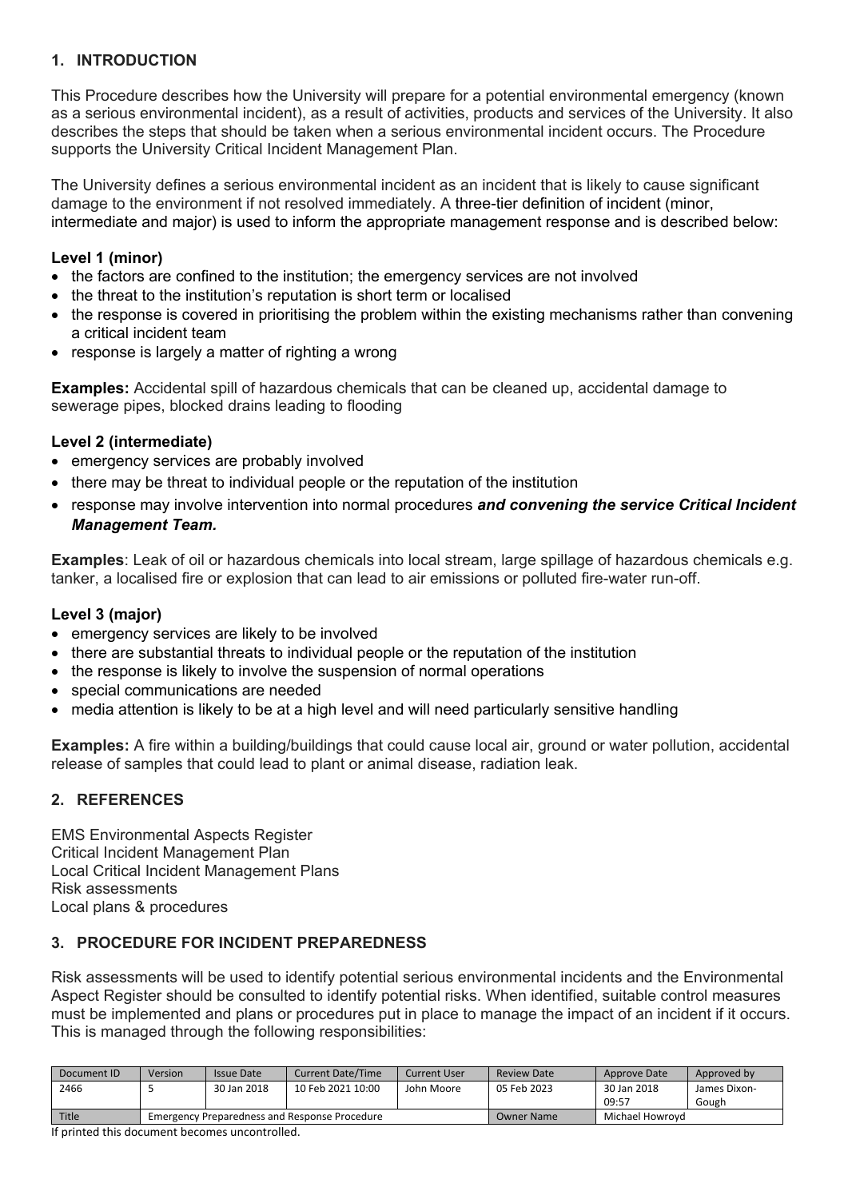## **1. INTRODUCTION**

This Procedure describes how the University will prepare for a potential environmental emergency (known as a serious environmental incident), as a result of activities, products and services of the University. It also describes the steps that should be taken when a serious environmental incident occurs. The Procedure supports the University Critical Incident Management Plan.

The University defines a serious environmental incident as an incident that is likely to cause significant damage to the environment if not resolved immediately. A three-tier definition of incident (minor, intermediate and major) is used to inform the appropriate management response and is described below:

#### **Level 1 (minor)**

- the factors are confined to the institution; the emergency services are not involved
- the threat to the institution's reputation is short term or localised
- the response is covered in prioritising the problem within the existing mechanisms rather than convening a critical incident team
- response is largely a matter of righting a wrong

**Examples:** Accidental spill of hazardous chemicals that can be cleaned up, accidental damage to sewerage pipes, blocked drains leading to flooding

#### **Level 2 (intermediate)**

- emergency services are probably involved
- there may be threat to individual people or the reputation of the institution
- response may involve intervention into normal procedures *and convening the service Critical Incident Management Team.*

**Examples**: Leak of oil or hazardous chemicals into local stream, large spillage of hazardous chemicals e.g. tanker, a localised fire or explosion that can lead to air emissions or polluted fire-water run-off.

#### **Level 3 (major)**

- emergency services are likely to be involved
- there are substantial threats to individual people or the reputation of the institution
- the response is likely to involve the suspension of normal operations
- special communications are needed
- media attention is likely to be at a high level and will need particularly sensitive handling

**Examples:** A fire within a building/buildings that could cause local air, ground or water pollution, accidental release of samples that could lead to plant or animal disease, radiation leak.

#### **2. REFERENCES**

EMS Environmental Aspects Register Critical Incident Management Plan Local Critical Incident Management Plans Risk assessments Local plans & procedures

#### **3. PROCEDURE FOR INCIDENT PREPAREDNESS**

Risk assessments will be used to identify potential serious environmental incidents and the Environmental Aspect Register should be consulted to identify potential risks. When identified, suitable control measures must be implemented and plans or procedures put in place to manage the impact of an incident if it occurs. This is managed through the following responsibilities:

| Document ID | Version                                       | Issue Date  | <b>Current Date/Time</b> | <b>Current User</b> | <b>Review Date</b> | Approve Date    | Approved by  |
|-------------|-----------------------------------------------|-------------|--------------------------|---------------------|--------------------|-----------------|--------------|
| 2466        |                                               | 30 Jan 2018 | 10 Feb 2021 10:00        | John Moore          | 05 Feb 2023        | 30 Jan 2018     | James Dixon- |
|             |                                               |             |                          |                     |                    | 09:57           | Gough        |
| Title       | Emergency Preparedness and Response Procedure |             |                          |                     | <b>Owner Name</b>  | Michael Howrovd |              |

If printed this document becomes uncontrolled.